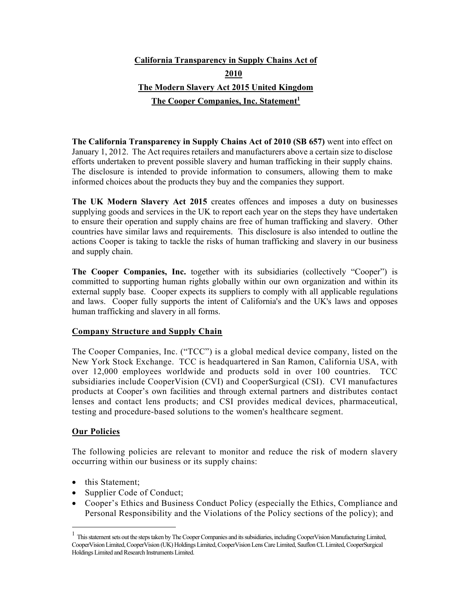# **California Transparency in Supply Chains Act of 2010 The Modern Slavery Act 2015 United Kingdom**  The Cooper Companies, Inc. Statement<sup>1</sup>

**The California Transparency in Supply Chains Act of 2010 (SB 657)** went into effect on January 1, 2012. The Act requires retailers and manufacturers above a certain size to disclose efforts undertaken to prevent possible slavery and human trafficking in their supply chains. The disclosure is intended to provide information to consumers, allowing them to make informed choices about the products they buy and the companies they support.

**The UK Modern Slavery Act 2015** creates offences and imposes a duty on businesses supplying goods and services in the UK to report each year on the steps they have undertaken to ensure their operation and supply chains are free of human trafficking and slavery. Other countries have similar laws and requirements. This disclosure is also intended to outline the actions Cooper is taking to tackle the risks of human trafficking and slavery in our business and supply chain.

**The Cooper Companies, Inc.** together with its subsidiaries (collectively "Cooper") is committed to supporting human rights globally within our own organization and within its external supply base. Cooper expects its suppliers to comply with all applicable regulations and laws. Cooper fully supports the intent of California's and the UK's laws and opposes human trafficking and slavery in all forms.

# **Company Structure and Supply Chain**

The Cooper Companies, Inc. ("TCC") is a global medical device company, listed on the New York Stock Exchange. TCC is headquartered in San Ramon, California USA, with over 12,000 employees worldwide and products sold in over 100 countries. TCC subsidiaries include CooperVision (CVI) and CooperSurgical (CSI). CVI manufactures products at Cooper's own facilities and through external partners and distributes contact lenses and contact lens products; and CSI provides medical devices, pharmaceutical, testing and procedure-based solutions to the women's healthcare segment.

# **Our Policies**

The following policies are relevant to monitor and reduce the risk of modern slavery occurring within our business or its supply chains:

- this Statement;
- Supplier Code of Conduct;
- Cooper's Ethics and Business Conduct Policy (especially the Ethics, Compliance and Personal Responsibility and the Violations of the Policy sections of the policy); and

<sup>&</sup>lt;sup>1</sup> This statement sets out the steps taken by The Cooper Companies and its subsidiaries, including CooperVision Manufacturing Limited, CooperVision Limited, CooperVision (UK) Holdings Limited, CooperVision Lens Care Limited, Sauflon CL Limited, CooperSurgical Holdings Limited and Research Instruments Limited.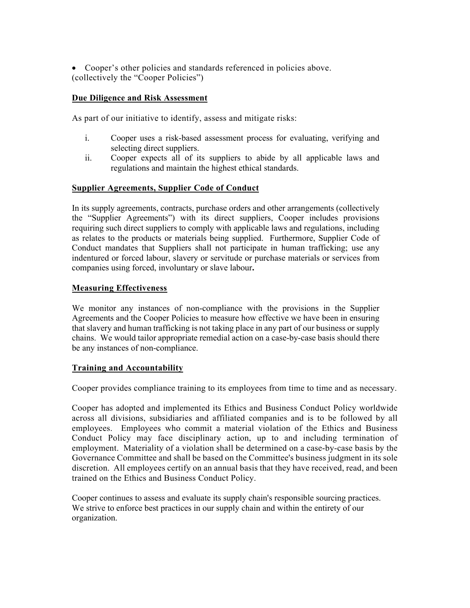Cooper's other policies and standards referenced in policies above. (collectively the "Cooper Policies")

## **Due Diligence and Risk Assessment**

As part of our initiative to identify, assess and mitigate risks:

- i. Cooper uses a risk-based assessment process for evaluating, verifying and selecting direct suppliers.
- ii. Cooper expects all of its suppliers to abide by all applicable laws and regulations and maintain the highest ethical standards.

### **Supplier Agreements, Supplier Code of Conduct**

In its supply agreements, contracts, purchase orders and other arrangements (collectively the "Supplier Agreements") with its direct suppliers, Cooper includes provisions requiring such direct suppliers to comply with applicable laws and regulations, including as relates to the products or materials being supplied. Furthermore, Supplier Code of Conduct mandates that Suppliers shall not participate in human trafficking; use any indentured or forced labour, slavery or servitude or purchase materials or services from companies using forced, involuntary or slave labour**.** 

#### **Measuring Effectiveness**

We monitor any instances of non-compliance with the provisions in the Supplier Agreements and the Cooper Policies to measure how effective we have been in ensuring that slavery and human trafficking is not taking place in any part of our business or supply chains. We would tailor appropriate remedial action on a case-by-case basis should there be any instances of non-compliance.

#### **Training and Accountability**

Cooper provides compliance training to its employees from time to time and as necessary.

Cooper has adopted and implemented its Ethics and Business Conduct Policy worldwide across all divisions, subsidiaries and affiliated companies and is to be followed by all employees. Employees who commit a material violation of the Ethics and Business Conduct Policy may face disciplinary action, up to and including termination of employment. Materiality of a violation shall be determined on a case-by-case basis by the Governance Committee and shall be based on the Committee's business judgment in its sole discretion. All employees certify on an annual basis that they have received, read, and been trained on the Ethics and Business Conduct Policy.

Cooper continues to assess and evaluate its supply chain's responsible sourcing practices. We strive to enforce best practices in our supply chain and within the entirety of our organization.